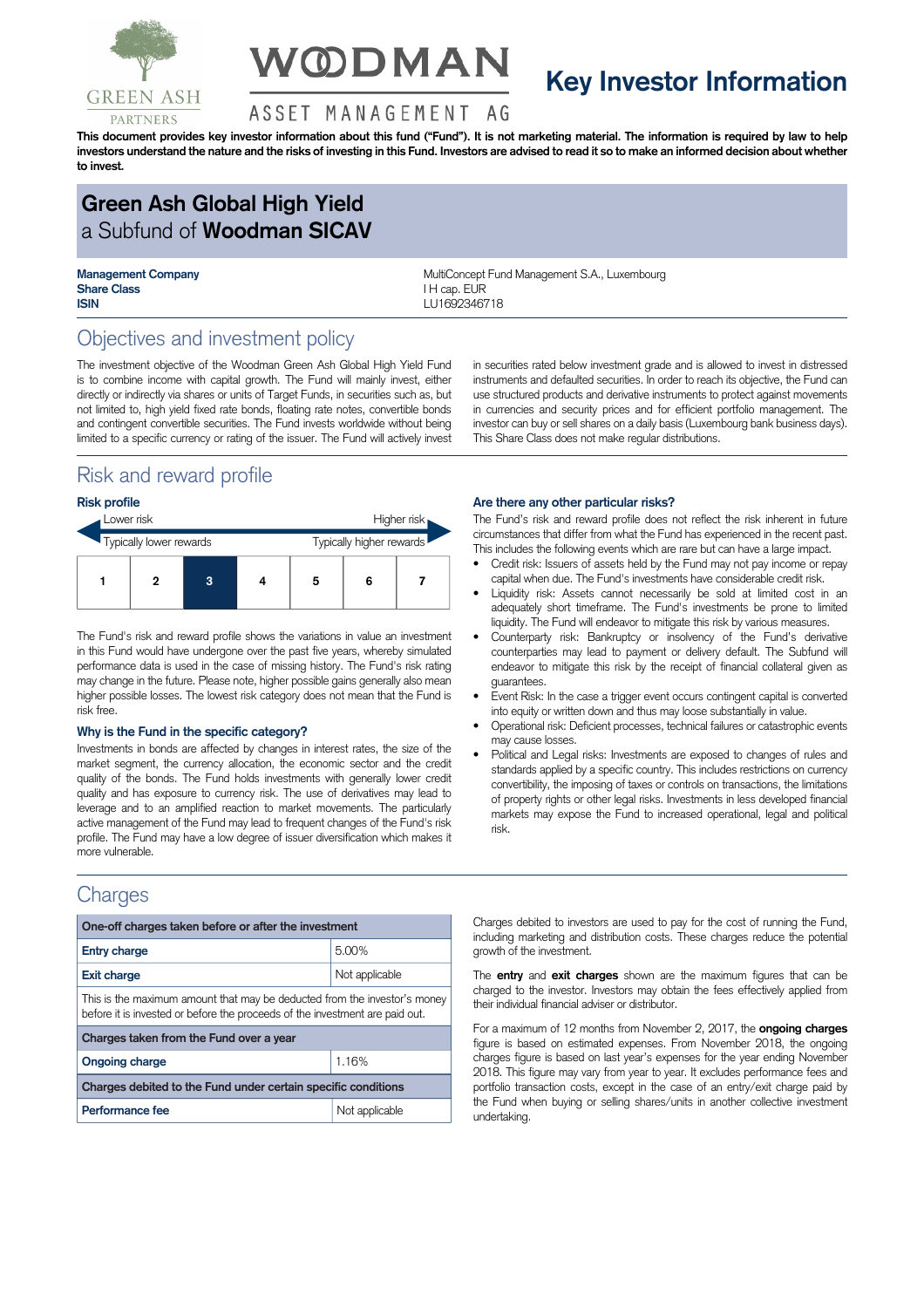

# **V@DMAN**

## **Key Investor Information**

#### ASSET MANAGEMENT AG

This document provides key investor information about this fund ("Fund"). It is not marketing material. The information is required by law to help investors understand the nature and the risks of investing in this Fund. Investors are advised to read it so to make an informed decision about whether **to invest.**

## **Green Ash Global High Yield** a Subfund of **Woodman SICAV**

**Share Class I H** can FUR **ISIN** LU1692346718

**Management Company MultiConcept Fund Management S.A., Luxembourg** 

## Objectives and investment policy

The investment objective of the Woodman Green Ash Global High Yield Fund is to combine income with capital growth. The Fund will mainly invest, either directly or indirectly via shares or units of Target Funds, in securities such as, but not limited to, high yield fixed rate bonds, floating rate notes, convertible bonds and contingent convertible securities. The Fund invests worldwide without being limited to a specific currency or rating of the issuer. The Fund will actively invest

## Risk and reward profile

#### **Risk profile**

| Lower risk              |  |   | Higher risk              |   |   |  |
|-------------------------|--|---|--------------------------|---|---|--|
| Typically lower rewards |  |   | Typically higher rewards |   |   |  |
|                         |  | 3 |                          | 5 | 6 |  |

The Fund's risk and reward profile shows the variations in value an investment in this Fund would have undergone over the past five years, whereby simulated performance data is used in the case of missing history. The Fund's risk rating may change in the future. Please note, higher possible gains generally also mean higher possible losses. The lowest risk category does not mean that the Fund is risk free.

#### **Why is the Fund in the specific category?**

Investments in bonds are affected by changes in interest rates, the size of the market segment, the currency allocation, the economic sector and the credit quality of the bonds. The Fund holds investments with generally lower credit quality and has exposure to currency risk. The use of derivatives may lead to leverage and to an amplified reaction to market movements. The particularly active management of the Fund may lead to frequent changes of the Fund's risk profile. The Fund may have a low degree of issuer diversification which makes it more vulnerable.

### **Charges**

| One-off charges taken before or after the investment                                                                                                      |                |  |  |  |  |
|-----------------------------------------------------------------------------------------------------------------------------------------------------------|----------------|--|--|--|--|
| <b>Entry charge</b>                                                                                                                                       | 5.00%          |  |  |  |  |
| <b>Exit charge</b>                                                                                                                                        | Not applicable |  |  |  |  |
| This is the maximum amount that may be deducted from the investor's money<br>before it is invested or before the proceeds of the investment are paid out. |                |  |  |  |  |
| Charges taken from the Fund over a year                                                                                                                   |                |  |  |  |  |
| <b>Ongoing charge</b>                                                                                                                                     | 1.16%          |  |  |  |  |
| Charges debited to the Fund under certain specific conditions                                                                                             |                |  |  |  |  |
| Performance fee                                                                                                                                           | Not applicable |  |  |  |  |

in securities rated below investment grade and is allowed to invest in distressed instruments and defaulted securities. In order to reach its objective, the Fund can use structured products and derivative instruments to protect against movements in currencies and security prices and for efficient portfolio management. The investor can buy or sell shares on a daily basis (Luxembourg bank business days). This Share Class does not make regular distributions.

#### **Are there any other particular risks?**

The Fund's risk and reward profile does not reflect the risk inherent in future circumstances that differ from what the Fund has experienced in the recent past. This includes the following events which are rare but can have a large impact.

- Credit risk: Issuers of assets held by the Fund may not pay income or repay capital when due. The Fund's investments have considerable credit risk.
- Liquidity risk: Assets cannot necessarily be sold at limited cost in an adequately short timeframe. The Fund's investments be prone to limited liquidity. The Fund will endeavor to mitigate this risk by various measures.
- Counterparty risk: Bankruptcy or insolvency of the Fund's derivative counterparties may lead to payment or delivery default. The Subfund will endeavor to mitigate this risk by the receipt of financial collateral given as guarantees.
- Event Risk: In the case a trigger event occurs contingent capital is converted into equity or written down and thus may loose substantially in value.
- Operational risk: Deficient processes, technical failures or catastrophic events may cause losses.
- Political and Legal risks: Investments are exposed to changes of rules and standards applied by a specific country. This includes restrictions on currency convertibility, the imposing of taxes or controls on transactions, the limitations of property rights or other legal risks. Investments in less developed financial markets may expose the Fund to increased operational, legal and political risk.

Charges debited to investors are used to pay for the cost of running the Fund, including marketing and distribution costs. These charges reduce the potential growth of the investment.

The **entry** and **exit charges** shown are the maximum figures that can be charged to the investor. Investors may obtain the fees effectively applied from their individual financial adviser or distributor.

For a maximum of 12 months from November 2, 2017, the **ongoing charges** figure is based on estimated expenses. From November 2018, the ongoing charges figure is based on last year's expenses for the year ending November 2018. This figure may vary from year to year. It excludes performance fees and portfolio transaction costs, except in the case of an entry/exit charge paid by the Fund when buying or selling shares/units in another collective investment undertaking.